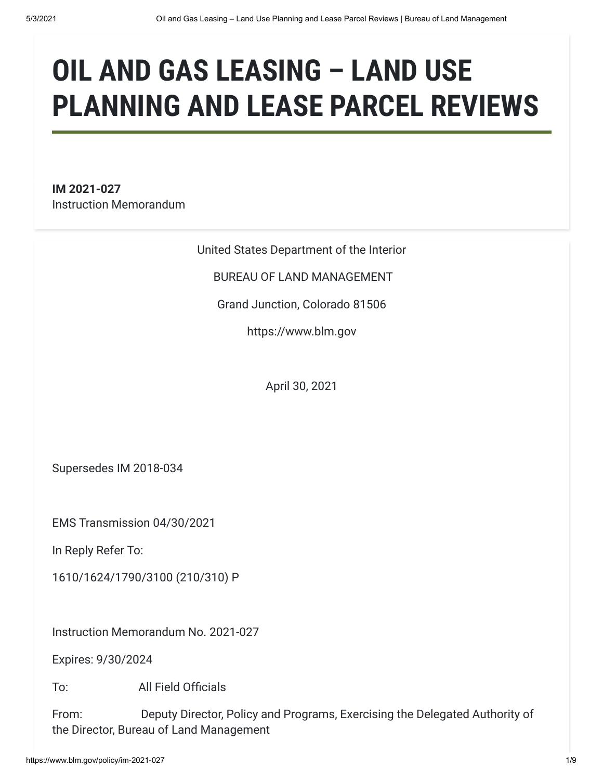# **OIL AND GAS LEASING – LAND USE PLANNING AND LEASE PARCEL REVIEWS**

**IM 2021-027** Instruction Memorandum

United States Department of the Interior

BUREAU OF LAND MANAGEMENT

Grand Junction, Colorado 81506

https://www.blm.gov

April 30, 2021

Supersedes IM 2018-034

EMS Transmission 04/30/2021

In Reply Refer To:

1610/1624/1790/3100 (210/310) P

Instruction Memorandum No. 2021-027

Expires: 9/30/2024

To: All Field Officials

From: **Deputy Director, Policy and Programs, Exercising the Delegated Authority of** the Director, Bureau of Land Management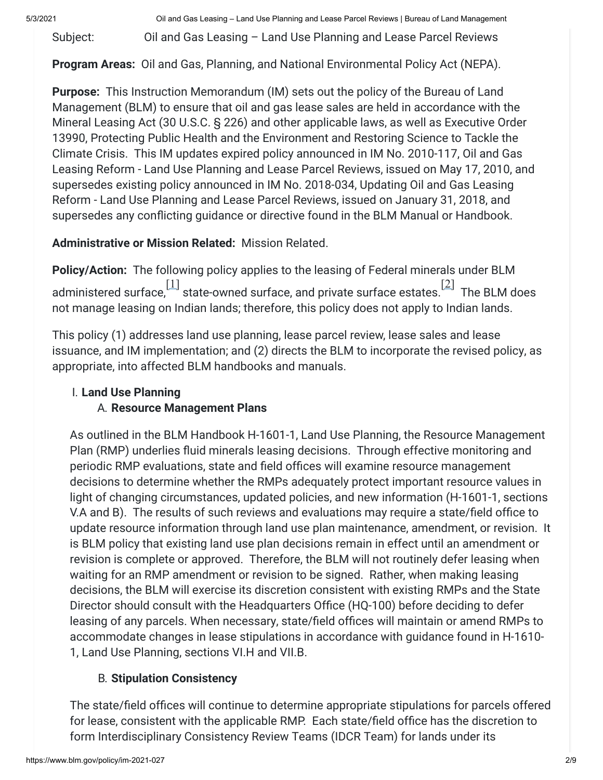5/3/2021 Oil and Gas Leasing – Land Use Planning and Lease Parcel Reviews | Bureau of Land Management

Subject: **Colland Gas Leasing – Land Use Planning and Lease Parcel Reviews** 

**Program Areas:** Oil and Gas, Planning, and National Environmental Policy Act (NEPA).

**Purpose:**  This Instruction Memorandum (IM) sets out the policy of the Bureau of Land Management (BLM) to ensure that oil and gas lease sales are held in accordance with the Mineral Leasing Act (30 U.S.C. § 226) and other applicable laws, as well as Executive Order 13990, Protecting Public Health and the Environment and Restoring Science to Tackle the Climate Crisis. This IM updates expired policy announced in IM No. 2010-117, Oil and Gas Leasing Reform - Land Use Planning and Lease Parcel Reviews, issued on May 17, 2010, and supersedes existing policy announced in IM No. 2018-034, Updating Oil and Gas Leasing Reform - Land Use Planning and Lease Parcel Reviews, issued on January 31, 2018, and supersedes any conflicting guidance or directive found in the BLM Manual or Handbook.

**Administrative or Mission Related:** Mission Related.

**Policy/Action:** The following policy applies to the leasing of Federal minerals under BLM administered surface, $\left[ \frac{11}{11} \right]$  state-owned surface, and private surface estates. $\left[ \frac{21}{11} \right]$  The BLM does not manage leasing on Indian lands; therefore, this policy does not apply to Indian lands.

This policy (1) addresses land use planning, lease parcel review, lease sales and lease issuance, and IM implementation; and (2) directs the BLM to incorporate the revised policy, as appropriate, into affected BLM handbooks and manuals.

# I. **Land Use Planning** A. **Resource Management Plans**

As outlined in the BLM Handbook H-1601-1, Land Use Planning, the Resource Management Plan (RMP) underlies fluid minerals leasing decisions. Through effective monitoring and periodic RMP evaluations, state and field offices will examine resource management decisions to determine whether the RMPs adequately protect important resource values in light of changing circumstances, updated policies, and new information (H-1601-1, sections V.A and B). The results of such reviews and evaluations may require a state/field office to update resource information through land use plan maintenance, amendment, or revision. It is BLM policy that existing land use plan decisions remain in effect until an amendment or revision is complete or approved. Therefore, the BLM will not routinely defer leasing when waiting for an RMP amendment or revision to be signed. Rather, when making leasing decisions, the BLM will exercise its discretion consistent with existing RMPs and the State Director should consult with the Headquarters Office (HQ-100) before deciding to defer leasing of any parcels. When necessary, state/field offices will maintain or amend RMPs to accommodate changes in lease stipulations in accordance with guidance found in H-1610- 1, Land Use Planning, sections VI.H and VII.B.

# B. **Stipulation Consistency**

The state/field offices will continue to determine appropriate stipulations for parcels offered for lease, consistent with the applicable RMP. Each state/field office has the discretion to form Interdisciplinary Consistency Review Teams (IDCR Team) for lands under its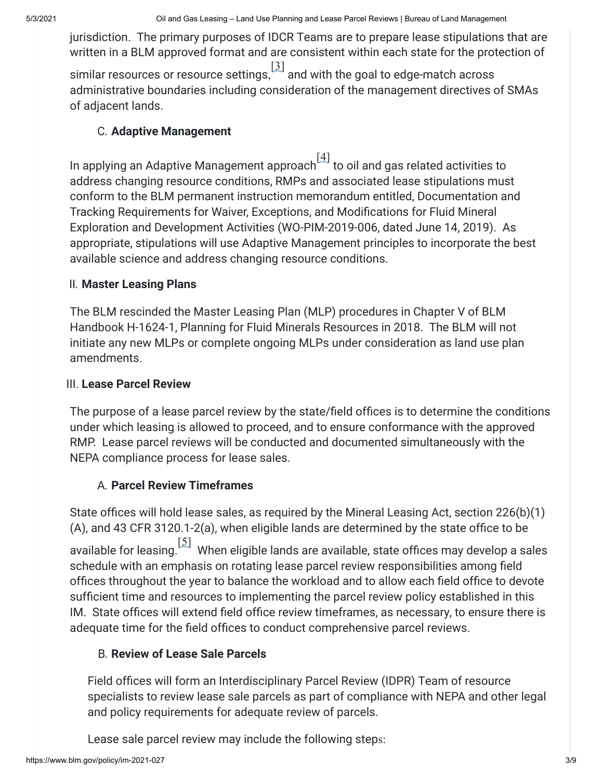jurisdiction. The primary purposes of IDCR Teams are to prepare lease stipulations that are written in a BLM approved format and are consistent within each state for the protection of

similar resources or resource settings,  $\left[\begin{smallmatrix} 3 \ 1 \end{smallmatrix}\right]$  and with the goal to edge-match across administrative boundaries including consideration of the management directives of SMAs of adjacent lands.

### C. **Adaptive Management**

In applying an Adaptive Management approach $\left[\frac{4}{1}\right]$  to oil and gas related activities to address changing resource conditions, RMPs and associated lease stipulations must conform to the BLM permanent instruction memorandum entitled, Documentation and Tracking Requirements for Waiver, Exceptions, and Modifications for Fluid Mineral Exploration and Development Activities (WO-PIM-2019-006, dated June 14, 2019). As appropriate, stipulations will use Adaptive Management principles to incorporate the best available science and address changing resource conditions.

# II. **Master Leasing Plans**

The BLM rescinded the Master Leasing Plan (MLP) procedures in Chapter V of BLM Handbook H-1624-1, Planning for Fluid Minerals Resources in 2018. The BLM will not initiate any new MLPs or complete ongoing MLPs under consideration as land use plan amendments.

# III. **Lease Parcel Review**

The purpose of a lease parcel review by the state/field offices is to determine the conditions under which leasing is allowed to proceed, and to ensure conformance with the approved RMP. Lease parcel reviews will be conducted and documented simultaneously with the NEPA compliance process for lease sales.

# A. **Parcel Review Timeframes**

State offices will hold lease sales, as required by the Mineral Leasing Act, section 226(b)(1) (A), and 43 CFR 3120.1-2(a), when eligible lands are determined by the state office to be available for leasing.  $\left[\frac{5}{2}\right]$  When eligible lands are available, state offices may develop a sales schedule with an emphasis on rotating lease parcel review responsibilities among field offices throughout the year to balance the workload and to allow each field office to devote sufficient time and resources to implementing the parcel review policy established in this IM. State offices will extend field office review timeframes, as necessary, to ensure there is adequate time for the field offices to conduct comprehensive parcel reviews.

# B. **Review of Lease Sale Parcels**

Field offices will form an Interdisciplinary Parcel Review (IDPR) Team of resource specialists to review lease sale parcels as part of compliance with NEPA and other legal and policy requirements for adequate review of parcels.

Lease sale parcel review may include the following steps: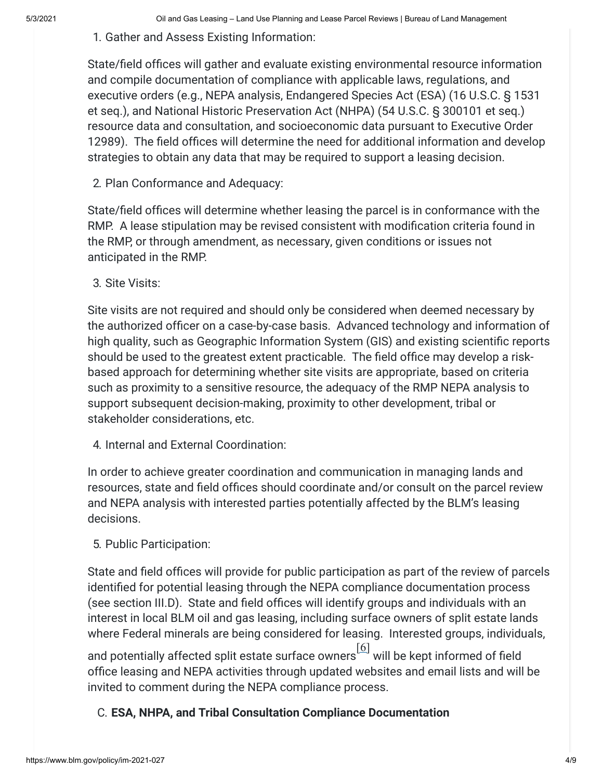#### 1. Gather and Assess Existing Information:

State/field offices will gather and evaluate existing environmental resource information and compile documentation of compliance with applicable laws, regulations, and executive orders (e.g., NEPA analysis, Endangered Species Act (ESA) (16 U.S.C. § 1531 et seq.), and National Historic Preservation Act (NHPA) (54 U.S.C. § 300101 et seq.) resource data and consultation, and socioeconomic data pursuant to Executive Order 12989). The field offices will determine the need for additional information and develop strategies to obtain any data that may be required to support a leasing decision.

#### 2. Plan Conformance and Adequacy:

State/field offices will determine whether leasing the parcel is in conformance with the RMP. A lease stipulation may be revised consistent with modification criteria found in the RMP, or through amendment, as necessary, given conditions or issues not anticipated in the RMP.

3. Site Visits:

Site visits are not required and should only be considered when deemed necessary by the authorized officer on a case-by-case basis. Advanced technology and information of high quality, such as Geographic Information System (GIS) and existing scientific reports should be used to the greatest extent practicable. The field office may develop a riskbased approach for determining whether site visits are appropriate, based on criteria such as proximity to a sensitive resource, the adequacy of the RMP NEPA analysis to support subsequent decision-making, proximity to other development, tribal or stakeholder considerations, etc.

4. Internal and External Coordination:

In order to achieve greater coordination and communication in managing lands and resources, state and field offices should coordinate and/or consult on the parcel review and NEPA analysis with interested parties potentially affected by the BLM's leasing decisions.

### 5. Public Participation:

State and field offices will provide for public participation as part of the review of parcels identified for potential leasing through the NEPA compliance documentation process (see section III.D). State and field offices will identify groups and individuals with an interest in local BLM oil and gas leasing, including surface owners of split estate lands where Federal minerals are being considered for leasing. Interested groups, individuals,

and potentially affected split estate surface owners  $\frac{[6]}{[6]}$  $\frac{[6]}{[6]}$  $\frac{[6]}{[6]}$  will be kept informed of field office leasing and NEPA activities through updated websites and email lists and will be invited to comment during the NEPA compliance process.

C. **ESA, NHPA, and Tribal Consultation Compliance Documentation**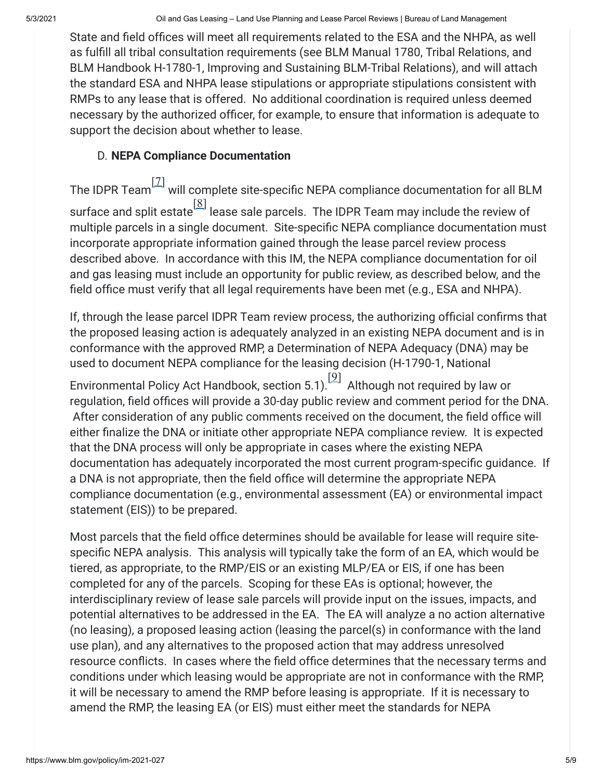State and field offices will meet all requirements related to the ESA and the NHPA, as well as fulfill all tribal consultation requirements (see BLM Manual 1780, Tribal Relations, and BLM Handbook H-1780-1, Improving and Sustaining BLM-Tribal Relations), and will attach the standard ESA and NHPA lease stipulations or appropriate stipulations consistent with RMPs to any lease that is offered. No additional coordination is required unless deemed necessary by the authorized officer, for example, to ensure that information is adequate to support the decision about whether to lease.

### D. **NEPA Compliance Documentation**

The IDPR Team[\[7\]](https://www.blm.gov/policy/im-2021-027#_ftn7) will complete site-specific NEPA compliance documentation for all BLM surface and split estate  $\left[\frac{[8]}{[8]}\right]$  $\left[\frac{[8]}{[8]}\right]$  $\left[\frac{[8]}{[8]}\right]$  lease sale parcels. The IDPR Team may include the review of multiple parcels in a single document. Site-specific NEPA compliance documentation must incorporate appropriate information gained through the lease parcel review process described above. In accordance with this IM, the NEPA compliance documentation for oil and gas leasing must include an opportunity for public review, as described below, and the field office must verify that all legal requirements have been met (e.g., ESA and NHPA).

If, through the lease parcel IDPR Team review process, the authorizing official confirms that the proposed leasing action is adequately analyzed in an existing NEPA document and is in conformance with the approved RMP, a Determination of NEPA Adequacy (DNA) may be used to document NEPA compliance for the leasing decision (H-1790-1, National

Environmental Policy Act Handbook, section 5.1).  $[9]$  Although not required by law or regulation, field offices will provide a 30-day public review and comment period for the DNA. After consideration of any public comments received on the document, the field office will either finalize the DNA or initiate other appropriate NEPA compliance review. It is expected that the DNA process will only be appropriate in cases where the existing NEPA documentation has adequately incorporated the most current program-specific guidance. If a DNA is not appropriate, then the field office will determine the appropriate NEPA compliance documentation (e.g., environmental assessment (EA) or environmental impact statement (EIS)) to be prepared.

Most parcels that the field office determines should be available for lease will require sitespecific NEPA analysis. This analysis will typically take the form of an EA, which would be tiered, as appropriate, to the RMP/EIS or an existing MLP/EA or EIS, if one has been completed for any of the parcels. Scoping for these EAs is optional; however, the interdisciplinary review of lease sale parcels will provide input on the issues, impacts, and potential alternatives to be addressed in the EA. The EA will analyze a no action alternative (no leasing), a proposed leasing action (leasing the parcel(s) in conformance with the land use plan), and any alternatives to the proposed action that may address unresolved resource conflicts. In cases where the field office determines that the necessary terms and conditions under which leasing would be appropriate are not in conformance with the RMP, it will be necessary to amend the RMP before leasing is appropriate. If it is necessary to amend the RMP, the leasing EA (or EIS) must either meet the standards for NEPA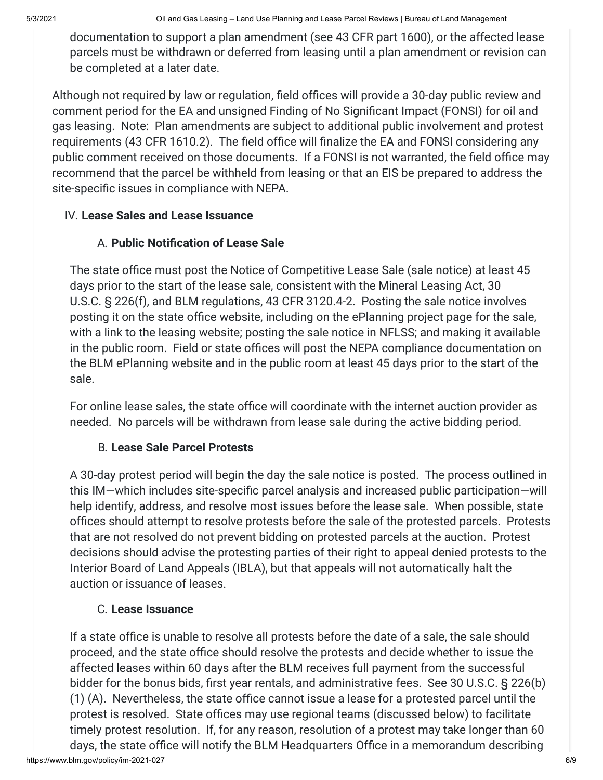documentation to support a plan amendment (see 43 CFR part 1600), or the affected lease parcels must be withdrawn or deferred from leasing until a plan amendment or revision can be completed at a later date.

Although not required by law or regulation, field offices will provide a 30-day public review and comment period for the EA and unsigned Finding of No Significant Impact (FONSI) for oil and gas leasing. Note: Plan amendments are subject to additional public involvement and protest requirements (43 CFR 1610.2). The field office will finalize the EA and FONSI considering any public comment received on those documents. If a FONSI is not warranted, the field office may recommend that the parcel be withheld from leasing or that an EIS be prepared to address the site-specific issues in compliance with NEPA.

### IV. **Lease Sales and Lease Issuance**

# A. **Public Notification of Lease Sale**

The state office must post the Notice of Competitive Lease Sale (sale notice) at least 45 days prior to the start of the lease sale, consistent with the Mineral Leasing Act, 30 U.S.C. § 226(f), and BLM regulations, 43 CFR 3120.4-2. Posting the sale notice involves posting it on the state office website, including on the ePlanning project page for the sale, with a link to the leasing website; posting the sale notice in NFLSS; and making it available in the public room. Field or state offices will post the NEPA compliance documentation on the BLM ePlanning website and in the public room at least 45 days prior to the start of the sale.

For online lease sales, the state office will coordinate with the internet auction provider as needed. No parcels will be withdrawn from lease sale during the active bidding period.

# B. **Lease Sale Parcel Protests**

A 30-day protest period will begin the day the sale notice is posted. The process outlined in this IM—which includes site-specific parcel analysis and increased public participation—will help identify, address, and resolve most issues before the lease sale. When possible, state offices should attempt to resolve protests before the sale of the protested parcels. Protests that are not resolved do not prevent bidding on protested parcels at the auction. Protest decisions should advise the protesting parties of their right to appeal denied protests to the Interior Board of Land Appeals (IBLA), but that appeals will not automatically halt the auction or issuance of leases.

# C. **Lease Issuance**

If a state office is unable to resolve all protests before the date of a sale, the sale should proceed, and the state office should resolve the protests and decide whether to issue the affected leases within 60 days after the BLM receives full payment from the successful bidder for the bonus bids, first year rentals, and administrative fees. See 30 U.S.C. § 226(b) (1) (A). Nevertheless, the state office cannot issue a lease for a protested parcel until the protest is resolved. State offices may use regional teams (discussed below) to facilitate timely protest resolution. If, for any reason, resolution of a protest may take longer than 60 days, the state office will notify the BLM Headquarters Office in a memorandum describing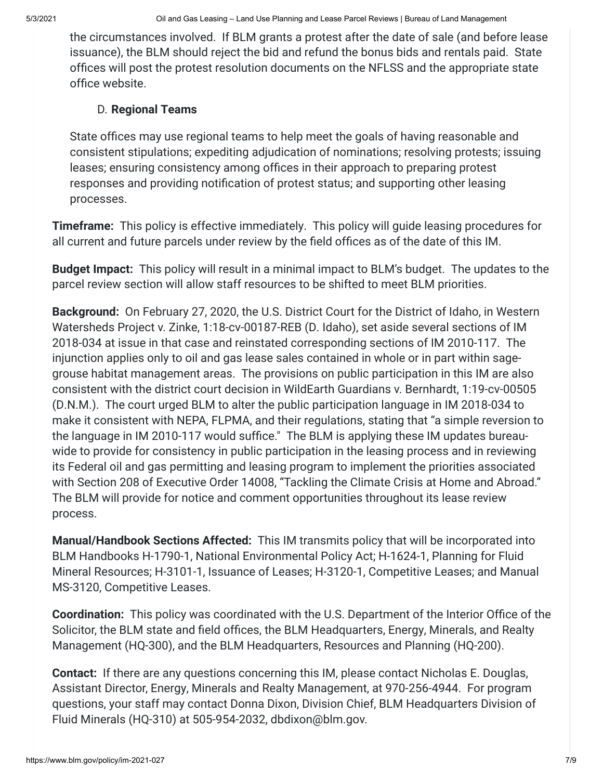the circumstances involved. If BLM grants a protest after the date of sale (and before lease issuance), the BLM should reject the bid and refund the bonus bids and rentals paid. State offices will post the protest resolution documents on the NFLSS and the appropriate state office website.

# D. **Regional Teams**

State offices may use regional teams to help meet the goals of having reasonable and consistent stipulations; expediting adjudication of nominations; resolving protests; issuing leases; ensuring consistency among offices in their approach to preparing protest responses and providing notification of protest status; and supporting other leasing processes.

**Timeframe:** This policy is effective immediately. This policy will guide leasing procedures for all current and future parcels under review by the field offices as of the date of this IM.

**Budget Impact:**  This policy will result in a minimal impact to BLM's budget. The updates to the parcel review section will allow staff resources to be shifted to meet BLM priorities.

**Background:**  On February 27, 2020, the U.S. District Court for the District of Idaho, in Western Watersheds Project v. Zinke, 1:18-cv-00187-REB (D. Idaho), set aside several sections of IM 2018-034 at issue in that case and reinstated corresponding sections of IM 2010-117. The injunction applies only to oil and gas lease sales contained in whole or in part within sagegrouse habitat management areas. The provisions on public participation in this IM are also consistent with the district court decision in WildEarth Guardians v. Bernhardt, 1:19-cv-00505 (D.N.M.). The court urged BLM to alter the public participation language in IM 2018-034 to make it consistent with NEPA, FLPMA, and their regulations, stating that "a simple reversion to the language in IM 2010-117 would suffice." The BLM is applying these IM updates bureauwide to provide for consistency in public participation in the leasing process and in reviewing its Federal oil and gas permitting and leasing program to implement the priorities associated with Section 208 of Executive Order 14008, "Tackling the Climate Crisis at Home and Abroad." The BLM will provide for notice and comment opportunities throughout its lease review process.

**Manual/Handbook Sections Affected:** This IM transmits policy that will be incorporated into BLM Handbooks H-1790-1, National Environmental Policy Act; H-1624-1, Planning for Fluid Mineral Resources; H-3101-1, Issuance of Leases; H-3120-1, Competitive Leases; and Manual MS-3120, Competitive Leases.

**Coordination:**  This policy was coordinated with the U.S. Department of the Interior Office of the Solicitor, the BLM state and field offices, the BLM Headquarters, Energy, Minerals, and Realty Management (HQ-300), and the BLM Headquarters, Resources and Planning (HQ-200).

**Contact:**  If there are any questions concerning this IM, please contact Nicholas E. Douglas, Assistant Director, Energy, Minerals and Realty Management, at 970-256-4944. For program questions, your staff may contact Donna Dixon, Division Chief, BLM Headquarters Division of Fluid Minerals (HQ-310) at 505-954-2032, dbdixon@blm.gov.